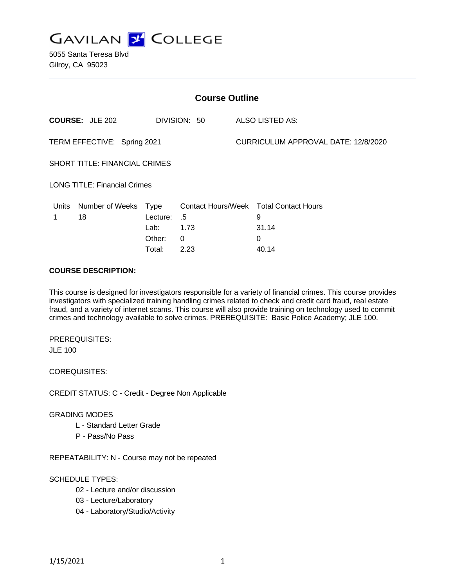

5055 Santa Teresa Blvd Gilroy, CA 95023

| <b>Course Outline</b>               |                                        |             |                 |                                     |                                               |
|-------------------------------------|----------------------------------------|-------------|-----------------|-------------------------------------|-----------------------------------------------|
|                                     | <b>COURSE: JLE 202</b><br>DIVISION: 50 |             | ALSO LISTED AS: |                                     |                                               |
| TERM EFFECTIVE: Spring 2021         |                                        |             |                 | CURRICULUM APPROVAL DATE: 12/8/2020 |                                               |
| SHORT TITLE: FINANCIAL CRIMES       |                                        |             |                 |                                     |                                               |
| <b>LONG TITLE: Financial Crimes</b> |                                        |             |                 |                                     |                                               |
| Units                               | <b>Number of Weeks</b>                 | <u>Type</u> |                 |                                     | <b>Contact Hours/Week Total Contact Hours</b> |
|                                     | 18                                     | Lecture:    | .5              |                                     | 9                                             |
|                                     |                                        | Lab:        | 1.73            |                                     | 31.14                                         |
|                                     |                                        | Other:      | $\Omega$        |                                     | $\Omega$                                      |
|                                     |                                        | Total:      | 2.23            |                                     | 40.14                                         |

#### **COURSE DESCRIPTION:**

This course is designed for investigators responsible for a variety of financial crimes. This course provides investigators with specialized training handling crimes related to check and credit card fraud, real estate fraud, and a variety of internet scams. This course will also provide training on technology used to commit crimes and technology available to solve crimes. PREREQUISITE: Basic Police Academy; JLE 100.

PREREQUISITES: JLE 100

COREQUISITES:

CREDIT STATUS: C - Credit - Degree Non Applicable

#### GRADING MODES

- L Standard Letter Grade
- P Pass/No Pass

REPEATABILITY: N - Course may not be repeated

### SCHEDULE TYPES:

- 02 Lecture and/or discussion
- 03 Lecture/Laboratory
- 04 Laboratory/Studio/Activity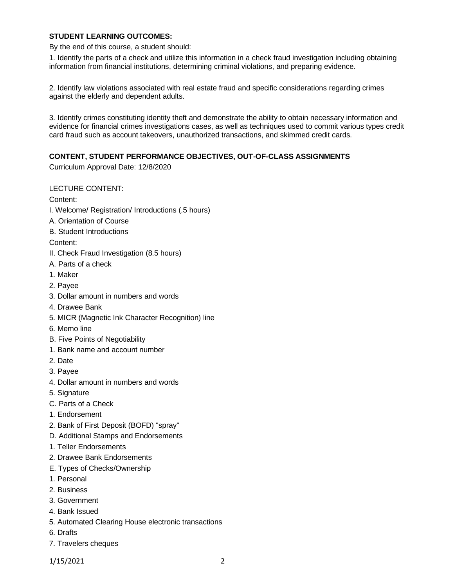### **STUDENT LEARNING OUTCOMES:**

By the end of this course, a student should:

1. Identify the parts of a check and utilize this information in a check fraud investigation including obtaining information from financial institutions, determining criminal violations, and preparing evidence.

2. Identify law violations associated with real estate fraud and specific considerations regarding crimes against the elderly and dependent adults.

3. Identify crimes constituting identity theft and demonstrate the ability to obtain necessary information and evidence for financial crimes investigations cases, as well as techniques used to commit various types credit card fraud such as account takeovers, unauthorized transactions, and skimmed credit cards.

### **CONTENT, STUDENT PERFORMANCE OBJECTIVES, OUT-OF-CLASS ASSIGNMENTS**

Curriculum Approval Date: 12/8/2020

LECTURE CONTENT:

Content:

- I. Welcome/ Registration/ Introductions (.5 hours)
- A. Orientation of Course
- B. Student Introductions
- Content:
- II. Check Fraud Investigation (8.5 hours)
- A. Parts of a check
- 1. Maker
- 2. Payee
- 3. Dollar amount in numbers and words
- 4. Drawee Bank
- 5. MICR (Magnetic Ink Character Recognition) line
- 6. Memo line
- B. Five Points of Negotiability
- 1. Bank name and account number
- 2. Date
- 3. Payee
- 4. Dollar amount in numbers and words
- 5. Signature
- C. Parts of a Check
- 1. Endorsement
- 2. Bank of First Deposit (BOFD) "spray"
- D. Additional Stamps and Endorsements
- 1. Teller Endorsements
- 2. Drawee Bank Endorsements
- E. Types of Checks/Ownership
- 1. Personal
- 2. Business
- 3. Government
- 4. Bank Issued
- 5. Automated Clearing House electronic transactions
- 6. Drafts
- 7. Travelers cheques

1/15/2021 2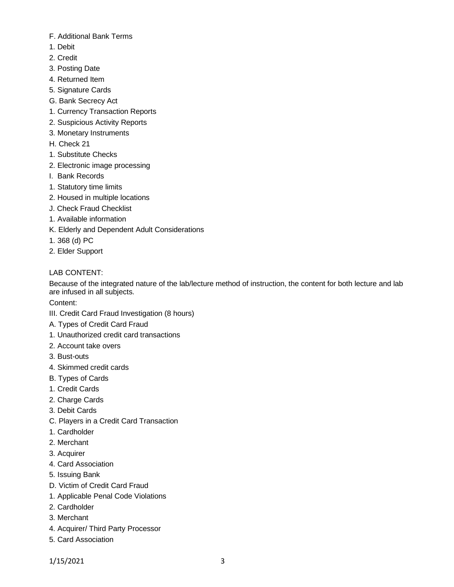- F. Additional Bank Terms
- 1. Debit
- 2. Credit
- 3. Posting Date
- 4. Returned Item
- 5. Signature Cards
- G. Bank Secrecy Act
- 1. Currency Transaction Reports
- 2. Suspicious Activity Reports
- 3. Monetary Instruments
- H. Check 21
- 1. Substitute Checks
- 2. Electronic image processing
- I. Bank Records
- 1. Statutory time limits
- 2. Housed in multiple locations
- J. Check Fraud Checklist
- 1. Available information
- K. Elderly and Dependent Adult Considerations
- 1. 368 (d) PC
- 2. Elder Support

# LAB CONTENT:

Because of the integrated nature of the lab/lecture method of instruction, the content for both lecture and lab are infused in all subjects.

Content:

- III. Credit Card Fraud Investigation (8 hours)
- A. Types of Credit Card Fraud
- 1. Unauthorized credit card transactions
- 2. Account take overs
- 3. Bust-outs
- 4. Skimmed credit cards
- B. Types of Cards
- 1. Credit Cards
- 2. Charge Cards
- 3. Debit Cards
- C. Players in a Credit Card Transaction
- 1. Cardholder
- 2. Merchant
- 3. Acquirer
- 4. Card Association
- 5. Issuing Bank
- D. Victim of Credit Card Fraud
- 1. Applicable Penal Code Violations
- 2. Cardholder
- 3. Merchant
- 4. Acquirer/ Third Party Processor
- 5. Card Association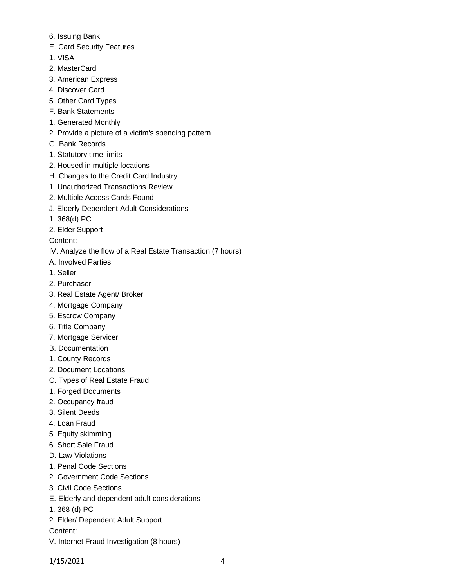- 6. Issuing Bank
- E. Card Security Features
- 1. VISA
- 2. MasterCard
- 3. American Express
- 4. Discover Card
- 5. Other Card Types
- F. Bank Statements
- 1. Generated Monthly
- 2. Provide a picture of a victim's spending pattern
- G. Bank Records
- 1. Statutory time limits
- 2. Housed in multiple locations
- H. Changes to the Credit Card Industry
- 1. Unauthorized Transactions Review
- 2. Multiple Access Cards Found
- J. Elderly Dependent Adult Considerations
- 1. 368(d) PC
- 2. Elder Support

Content:

- IV. Analyze the flow of a Real Estate Transaction (7 hours)
- A. Involved Parties
- 1. Seller
- 2. Purchaser
- 3. Real Estate Agent/ Broker
- 4. Mortgage Company
- 5. Escrow Company
- 6. Title Company
- 7. Mortgage Servicer
- B. Documentation
- 1. County Records
- 2. Document Locations
- C. Types of Real Estate Fraud
- 1. Forged Documents
- 2. Occupancy fraud
- 3. Silent Deeds
- 4. Loan Fraud
- 5. Equity skimming
- 6. Short Sale Fraud
- D. Law Violations
- 1. Penal Code Sections
- 2. Government Code Sections
- 3. Civil Code Sections
- E. Elderly and dependent adult considerations
- 1. 368 (d) PC
- 2. Elder/ Dependent Adult Support

Content:

V. Internet Fraud Investigation (8 hours)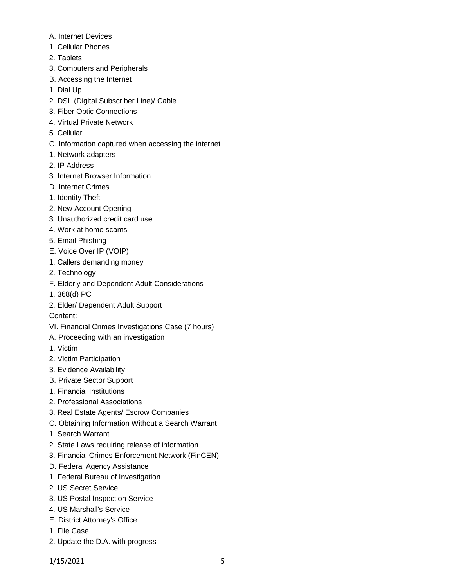- A. Internet Devices
- 1. Cellular Phones
- 2. Tablets
- 3. Computers and Peripherals
- B. Accessing the Internet
- 1. Dial Up
- 2. DSL (Digital Subscriber Line)/ Cable
- 3. Fiber Optic Connections
- 4. Virtual Private Network
- 5. Cellular
- C. Information captured when accessing the internet
- 1. Network adapters
- 2. IP Address
- 3. Internet Browser Information
- D. Internet Crimes
- 1. Identity Theft
- 2. New Account Opening
- 3. Unauthorized credit card use
- 4. Work at home scams
- 5. Email Phishing
- E. Voice Over IP (VOIP)
- 1. Callers demanding money
- 2. Technology
- F. Elderly and Dependent Adult Considerations
- 1. 368(d) PC
- 2. Elder/ Dependent Adult Support

Content:

- VI. Financial Crimes Investigations Case (7 hours)
- A. Proceeding with an investigation
- 1. Victim
- 2. Victim Participation
- 3. Evidence Availability
- B. Private Sector Support
- 1. Financial Institutions
- 2. Professional Associations
- 3. Real Estate Agents/ Escrow Companies
- C. Obtaining Information Without a Search Warrant
- 1. Search Warrant
- 2. State Laws requiring release of information
- 3. Financial Crimes Enforcement Network (FinCEN)
- D. Federal Agency Assistance
- 1. Federal Bureau of Investigation
- 2. US Secret Service
- 3. US Postal Inspection Service
- 4. US Marshall's Service
- E. District Attorney's Office
- 1. File Case
- 2. Update the D.A. with progress

1/15/2021 5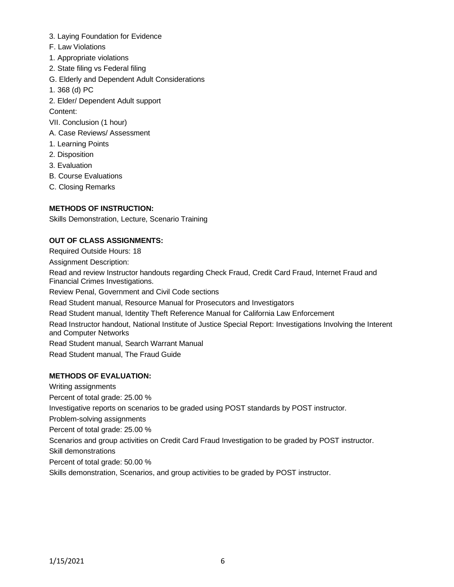- 3. Laying Foundation for Evidence
- F. Law Violations
- 1. Appropriate violations
- 2. State filing vs Federal filing
- G. Elderly and Dependent Adult Considerations
- 1. 368 (d) PC
- 2. Elder/ Dependent Adult support

Content:

- VII. Conclusion (1 hour)
- A. Case Reviews/ Assessment
- 1. Learning Points
- 2. Disposition
- 3. Evaluation
- B. Course Evaluations
- C. Closing Remarks

# **METHODS OF INSTRUCTION:**

Skills Demonstration, Lecture, Scenario Training

# **OUT OF CLASS ASSIGNMENTS:**

Required Outside Hours: 18

Assignment Description:

Read and review Instructor handouts regarding Check Fraud, Credit Card Fraud, Internet Fraud and Financial Crimes Investigations.

Review Penal, Government and Civil Code sections

Read Student manual, Resource Manual for Prosecutors and Investigators

Read Student manual, Identity Theft Reference Manual for California Law Enforcement

Read Instructor handout, National Institute of Justice Special Report: Investigations Involving the Interent and Computer Networks

Read Student manual, Search Warrant Manual

Read Student manual, The Fraud Guide

## **METHODS OF EVALUATION:**

Writing assignments Percent of total grade: 25.00 % Investigative reports on scenarios to be graded using POST standards by POST instructor. Problem-solving assignments Percent of total grade: 25.00 % Scenarios and group activities on Credit Card Fraud Investigation to be graded by POST instructor. Skill demonstrations Percent of total grade: 50.00 %

Skills demonstration, Scenarios, and group activities to be graded by POST instructor.